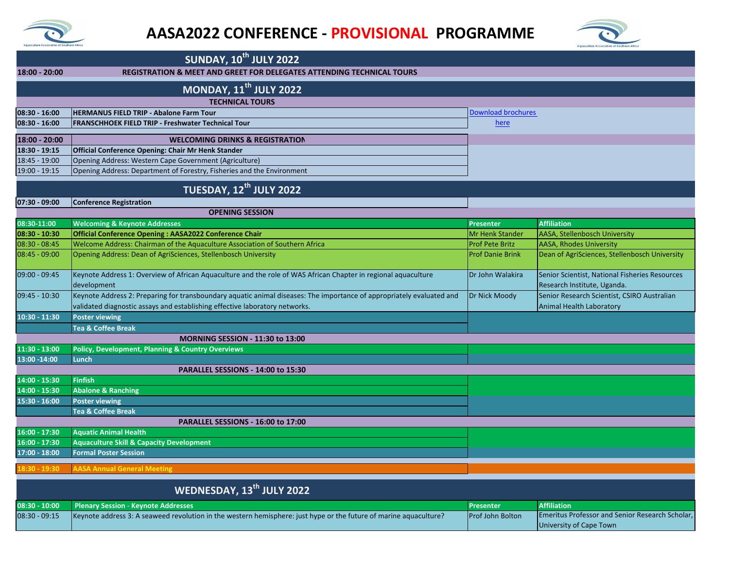



University of Cape Town

| <b>SUNDAY, 10th JULY 2022</b>                                                          |                                                                                                                                                                                                      |                           |                                                                               |  |  |
|----------------------------------------------------------------------------------------|------------------------------------------------------------------------------------------------------------------------------------------------------------------------------------------------------|---------------------------|-------------------------------------------------------------------------------|--|--|
| REGISTRATION & MEET AND GREET FOR DELEGATES ATTENDING TECHNICAL TOURS<br>18:00 - 20:00 |                                                                                                                                                                                                      |                           |                                                                               |  |  |
| <b>MONDAY, 11<sup>th</sup> JULY 2022</b>                                               |                                                                                                                                                                                                      |                           |                                                                               |  |  |
| <b>TECHNICAL TOURS</b>                                                                 |                                                                                                                                                                                                      |                           |                                                                               |  |  |
| 08:30 - 16:00                                                                          | <b>HERMANUS FIELD TRIP - Abalone Farm Tour</b>                                                                                                                                                       | <b>Download brochures</b> |                                                                               |  |  |
| 08:30 - 16:00                                                                          | <b>FRANSCHHOEK FIELD TRIP - Freshwater Technical Tour</b>                                                                                                                                            | here                      |                                                                               |  |  |
| 18:00 - 20:00                                                                          | <b>WELCOMING DRINKS &amp; REGISTRATION</b>                                                                                                                                                           |                           |                                                                               |  |  |
| 18:30 - 19:15                                                                          | Official Conference Opening: Chair Mr Henk Stander                                                                                                                                                   |                           |                                                                               |  |  |
| 18:45 - 19:00                                                                          | Opening Address: Western Cape Government (Agriculture)                                                                                                                                               |                           |                                                                               |  |  |
| 19:00 - 19:15                                                                          | Opening Address: Department of Forestry, Fisheries and the Environment                                                                                                                               |                           |                                                                               |  |  |
| TUESDAY, 12 <sup>th</sup> JULY 2022                                                    |                                                                                                                                                                                                      |                           |                                                                               |  |  |
| 07:30 - 09:00                                                                          | <b>Conference Registration</b>                                                                                                                                                                       |                           |                                                                               |  |  |
|                                                                                        | <b>OPENING SESSION</b>                                                                                                                                                                               |                           |                                                                               |  |  |
| 08:30-11:00                                                                            | <b>Welcoming &amp; Keynote Addresses</b>                                                                                                                                                             | <b>Presenter</b>          | <b>Affiliation</b>                                                            |  |  |
| 08:30 - 10:30                                                                          | Official Conference Opening: AASA2022 Conference Chair                                                                                                                                               | Mr Henk Stander           | <b>AASA, Stellenbosch University</b>                                          |  |  |
| $08:30 - 08:45$                                                                        | Welcome Address: Chairman of the Aquaculture Association of Southern Africa                                                                                                                          | <b>Prof Pete Britz</b>    | <b>AASA, Rhodes University</b>                                                |  |  |
| $08:45 - 09:00$                                                                        | Opening Address: Dean of AgriSciences, Stellenbosch University                                                                                                                                       | <b>Prof Danie Brink</b>   | Dean of AgriSciences, Stellenbosch University                                 |  |  |
| 09:00 - 09:45                                                                          | Keynote Address 1: Overview of African Aquaculture and the role of WAS African Chapter in regional aquaculture<br>development                                                                        | Dr John Walakira          | Senior Scientist, National Fisheries Resources<br>Research Institute, Uganda. |  |  |
| 09:45 - 10:30                                                                          | Keynote Address 2: Preparing for transboundary aquatic animal diseases: The importance of appropriately evaluated and<br>validated diagnostic assays and establishing effective laboratory networks. | Dr Nick Moody             | Senior Research Scientist, CSIRO Australian<br>Animal Health Laboratory       |  |  |
| 10:30 - 11:30                                                                          | <b>Poster viewing</b>                                                                                                                                                                                |                           |                                                                               |  |  |
|                                                                                        | <b>Tea &amp; Coffee Break</b>                                                                                                                                                                        |                           |                                                                               |  |  |
|                                                                                        | <b>MORNING SESSION - 11:30 to 13:00</b>                                                                                                                                                              |                           |                                                                               |  |  |
| 11:30 - 13:00                                                                          | <b>Policy, Development, Planning &amp; Country Overviews</b>                                                                                                                                         |                           |                                                                               |  |  |
| 13:00 -14:00                                                                           | Lunch                                                                                                                                                                                                |                           |                                                                               |  |  |
|                                                                                        | PARALLEL SESSIONS - 14:00 to 15:30                                                                                                                                                                   |                           |                                                                               |  |  |
| 14:00 - 15:30                                                                          | <b>Finfish</b>                                                                                                                                                                                       |                           |                                                                               |  |  |
| 14:00 - 15:30                                                                          | <b>Abalone &amp; Ranching</b>                                                                                                                                                                        |                           |                                                                               |  |  |
| 15:30 - 16:00                                                                          | <b>Poster viewing</b>                                                                                                                                                                                |                           |                                                                               |  |  |
|                                                                                        | <b>Tea &amp; Coffee Break</b>                                                                                                                                                                        |                           |                                                                               |  |  |
| 16:00 - 17:30                                                                          | PARALLEL SESSIONS - 16:00 to 17:00<br><b>Aquatic Animal Health</b>                                                                                                                                   |                           |                                                                               |  |  |
| 16:00 - 17:30                                                                          | <b>Aquaculture Skill &amp; Capacity Development</b>                                                                                                                                                  |                           |                                                                               |  |  |
| L7:00 - 18:00                                                                          | <b>Formal Poster Session</b>                                                                                                                                                                         |                           |                                                                               |  |  |
| 8:30 - 19:30                                                                           | <b>AASA Annual General Meeting</b>                                                                                                                                                                   |                           |                                                                               |  |  |
|                                                                                        |                                                                                                                                                                                                      |                           |                                                                               |  |  |
| WEDNESDAY, 13 <sup>th</sup> JULY 2022                                                  |                                                                                                                                                                                                      |                           |                                                                               |  |  |
| 08:30 - 10:00                                                                          | <b>Plenary Session - Keynote Addresses</b>                                                                                                                                                           | <b>Presenter</b>          | <b>Affiliation</b>                                                            |  |  |
| 08:30 - 09:15                                                                          | Keynote address 3: A seaweed revolution in the western hemisphere: just hype or the future of marine aquaculture?                                                                                    | Prof John Bolton          | Emeritus Professor and Senior Research Scholar,                               |  |  |